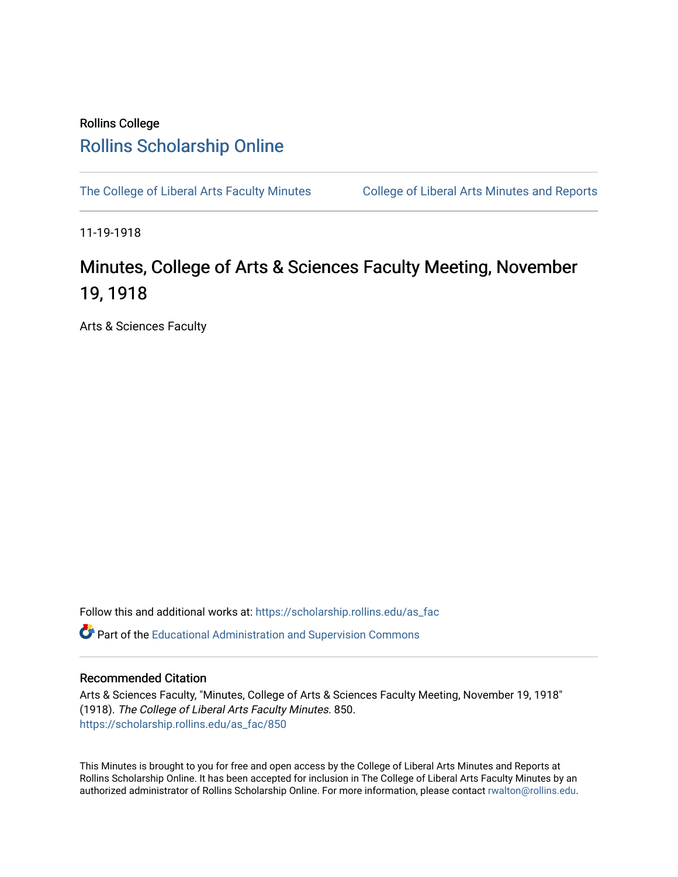## Rollins College [Rollins Scholarship Online](https://scholarship.rollins.edu/)

[The College of Liberal Arts Faculty Minutes](https://scholarship.rollins.edu/as_fac) College of Liberal Arts Minutes and Reports

11-19-1918

## Minutes, College of Arts & Sciences Faculty Meeting, November 19, 1918

Arts & Sciences Faculty

Follow this and additional works at: [https://scholarship.rollins.edu/as\\_fac](https://scholarship.rollins.edu/as_fac?utm_source=scholarship.rollins.edu%2Fas_fac%2F850&utm_medium=PDF&utm_campaign=PDFCoverPages) 

**P** Part of the [Educational Administration and Supervision Commons](http://network.bepress.com/hgg/discipline/787?utm_source=scholarship.rollins.edu%2Fas_fac%2F850&utm_medium=PDF&utm_campaign=PDFCoverPages)

## Recommended Citation

Arts & Sciences Faculty, "Minutes, College of Arts & Sciences Faculty Meeting, November 19, 1918" (1918). The College of Liberal Arts Faculty Minutes. 850. [https://scholarship.rollins.edu/as\\_fac/850](https://scholarship.rollins.edu/as_fac/850?utm_source=scholarship.rollins.edu%2Fas_fac%2F850&utm_medium=PDF&utm_campaign=PDFCoverPages) 

This Minutes is brought to you for free and open access by the College of Liberal Arts Minutes and Reports at Rollins Scholarship Online. It has been accepted for inclusion in The College of Liberal Arts Faculty Minutes by an authorized administrator of Rollins Scholarship Online. For more information, please contact [rwalton@rollins.edu](mailto:rwalton@rollins.edu).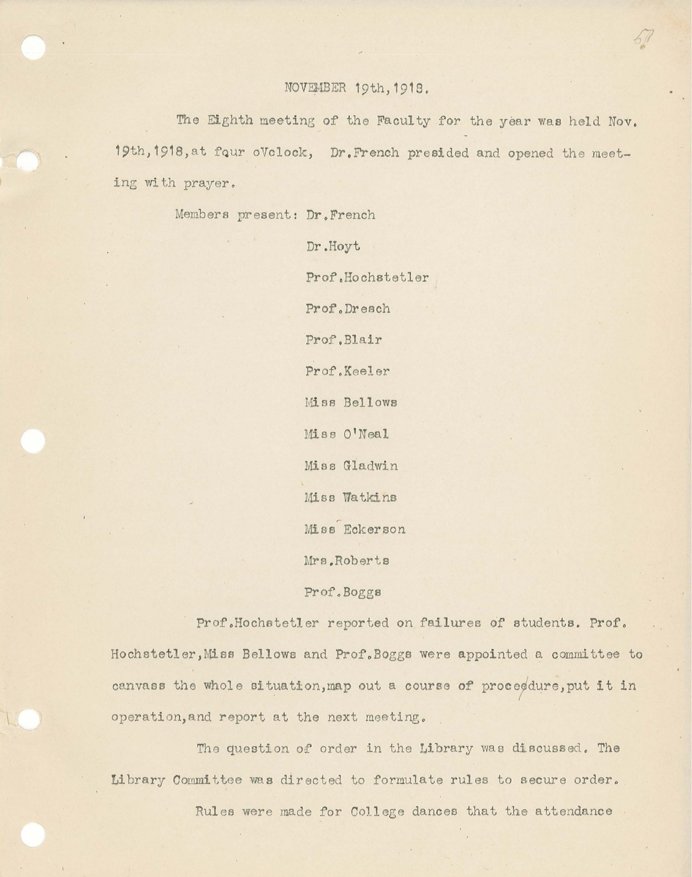The Eighth meeting of the Faculty for the year was held Nov. 19th, 1918, at four oVclock, Dr. French presided and opened the meeting with prayer.

*fl* 

 $\frac{1}{101}$ 

Members present: Dr.French

Dr.Hoyt Prof.Hochstetler Prof.Dresch Prof',Blair Prof.Keeler Miss Bellows Miss O'Neal Miss Gladwin Miss Watkins Miss Eckerson Mrs ,Roberta

Prof.Boggs

Prof.Hochstetler reported on failures of students. Prof. Hochstetler ,Miss Bellows and Prof. Boggs were appointed a committee to canvass the whole situation, map out a course of proceedure, put it in operation,and report at the next meeting.

The question of order in the Library was discussed. The Library Committee was directed to formulate rules to secure order.

Rules were made for College dances that the attendance